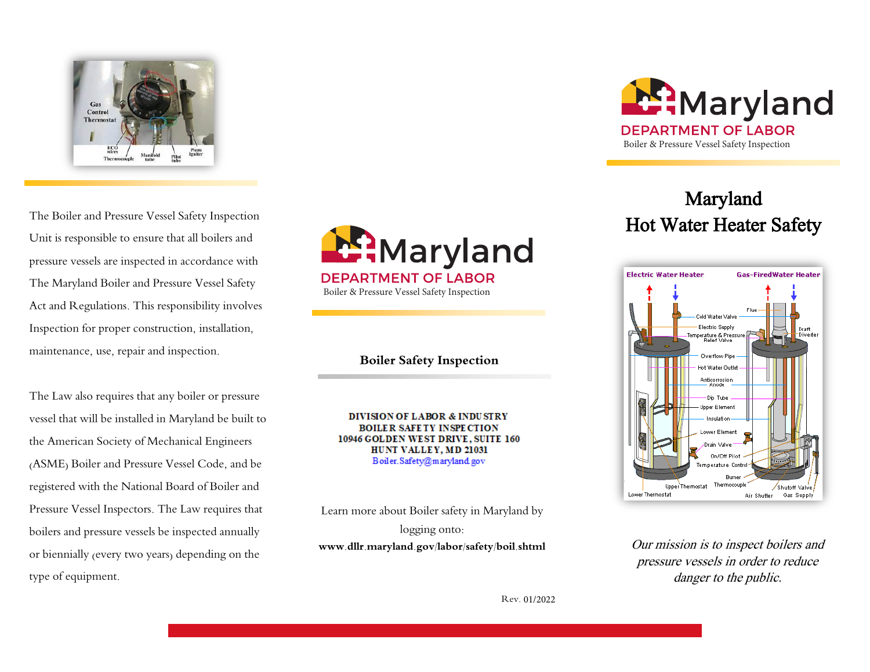

The Boiler and Pressure Vessel Safety Inspection Unit is responsible to ensure that all boilers and pressure vessels are inspected in accordance with The Maryland Boiler and Pressure Vessel Safety Act and Regulations. This responsibility involves Inspection for proper construction, installation, maintenance, use, repair and inspection.

The Law also requires that any boiler or pressure vessel that will be installed in Maryland be built to the American Society of Mechanical Engineers (ASME) Boiler and Pressure Vessel Code, and be registered with the National Board of Boiler and Pressure Vessel Inspectors. The Law requires that boilers and pressure vessels be inspected annually or biennially (every two years) depending on the type of equipment.



Boiler & Pressure Vessel Safety Inspection

## **Boiler Safety Inspection**

**DIVISION OF LABOR & INDUSTRY BOILER SAFETY INSPECTION** 10946 GOLDEN WEST DRIVE, SUITE 160 HUNT VALLEY, MD 21031 Boiler.Safety@maryland.gov

Learn more about Boiler safety in Maryland by logging onto: **www.dllr.maryland.gov/labor/safety/boil.shtml** 



# Maryland Hot Water Heater Safety



Our mission is to inspect boilers and pressure vessels in order to reduce danger to the public.

Rev. 01/2022